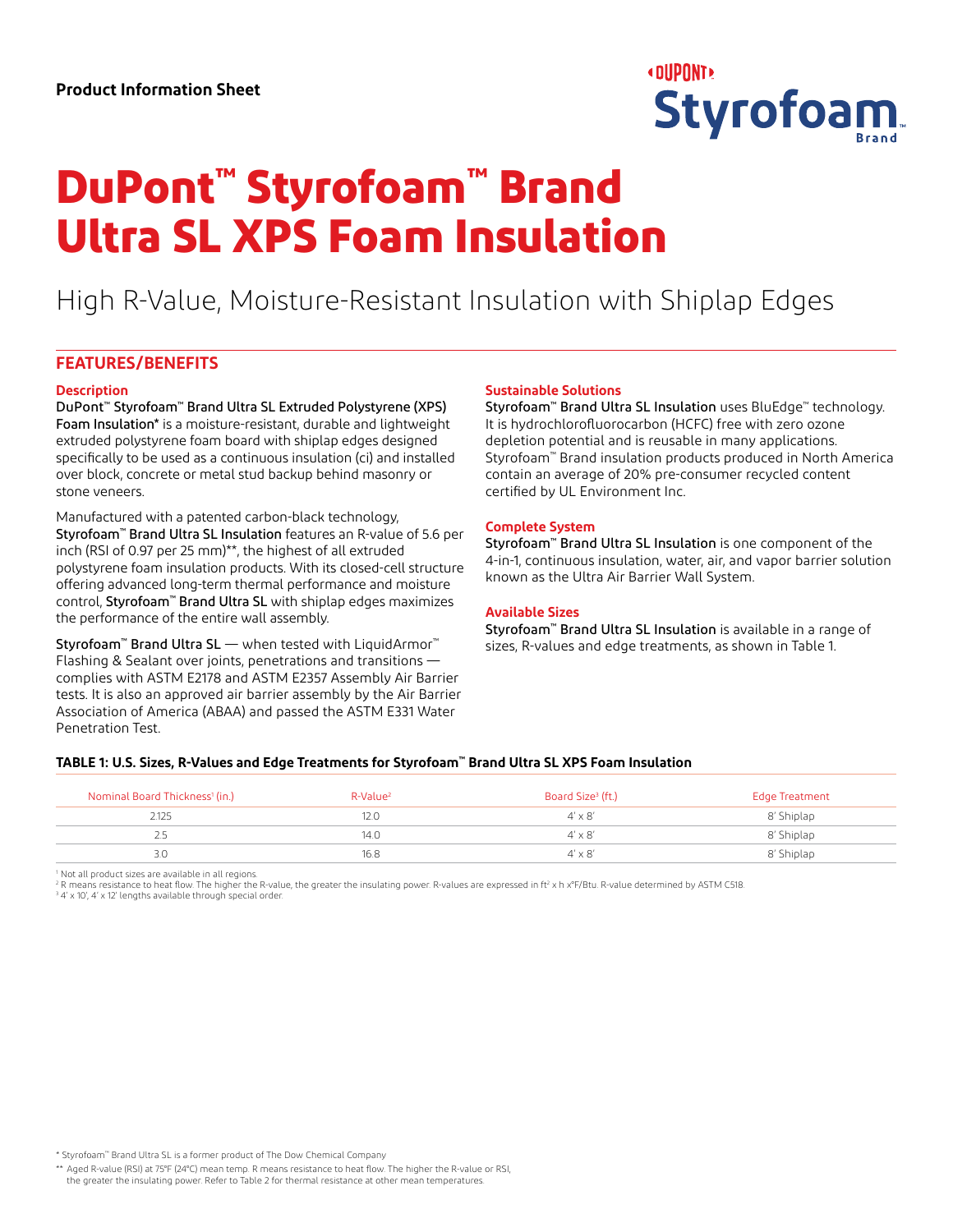

# **DuPont™ Styrofoam™ Brand Ultra SL XPS Foam Insulation**

# High R-Value, Moisture-Resistant Insulation with Shiplap Edges

# **FEATURES/BENEFITS**

#### **Description**

DuPont™ Styrofoam™ Brand Ultra SL Extruded Polystyrene (XPS) Foam Insulation\* is a moisture-resistant, durable and lightweight extruded polystyrene foam board with shiplap edges designed specifically to be used as a continuous insulation (ci) and installed over block, concrete or metal stud backup behind masonry or stone veneers.

Manufactured with a patented carbon-black technology, Styrofoam™ Brand Ultra SL Insulation features an R-value of 5.6 per inch (RSI of 0.97 per 25 mm)\*\*, the highest of all extruded polystyrene foam insulation products. With its closed-cell structure offering advanced long-term thermal performance and moisture control, Styrofoam™ Brand Ultra SL with shiplap edges maximizes the performance of the entire wall assembly.

Styrofoam™ Brand Ultra SL — when tested with LiquidArmor™ Flashing & Sealant over joints, penetrations and transitions complies with ASTM E2178 and ASTM E2357 Assembly Air Barrier tests. It is also an approved air barrier assembly by the Air Barrier Association of America (ABAA) and passed the ASTM E331 Water Penetration Test.

# **Sustainable Solutions**

Styrofoam™ Brand Ultra SL Insulation uses BluEdge™ technology. It is hydrochlorofluorocarbon (HCFC) free with zero ozone depletion potential and is reusable in many applications. Styrofoam™ Brand insulation products produced in North America contain an average of 20% pre-consumer recycled content certified by UL Environment Inc.

# **Complete System**

Styrofoam™ Brand Ultra SL Insulation is one component of the 4-in-1, continuous insulation, water, air, and vapor barrier solution known as the Ultra Air Barrier Wall System.

# **Available Sizes**

Styrofoam™ Brand Ultra SL Insulation is available in a range of sizes, R-values and edge treatments, as shown in Table 1.

# **TABLE 1: U.S. Sizes, R-Values and Edge Treatments for Styrofoam™ Brand Ultra SL XPS Foam Insulation**

| Nominal Board Thickness <sup>1</sup> (in.) | R-Value <sup>2</sup> | Board Size <sup>3</sup> (ft.) | <b>Edge Treatment</b> |
|--------------------------------------------|----------------------|-------------------------------|-----------------------|
| 2.125                                      | 12.0                 | $4' \times 8'$                | 8' Shiplap            |
| <u>L.,</u>                                 | 14.0                 | $4' \times 8'$                | 8' Shiplap            |
| 3.0                                        | 16.8                 | $4' \times 8'$                | 8′ Shiplap            |

<sup>1</sup> Not all product sizes are available in all regions.

 $^{\rm 2}$ R means resistance to heat flow. The higher the R-value, the greater the insulating power. R-values are expressed in ft<sup>2</sup> x h x°F/Btu. R-value determined by ASTM C518.

<sup>3</sup> 4' x 10', 4' x 12' lengths available through special order.

\* Styrofoam™ Brand Ultra SL is a former product of The Dow Chemical Company

\*\* Aged R-value (RSI) at 75°F (24°C) mean temp. R means resistance to heat flow. The higher the R-value or RSI, the greater the insulating power. Refer to Table 2 for thermal resistance at other mean temperatures.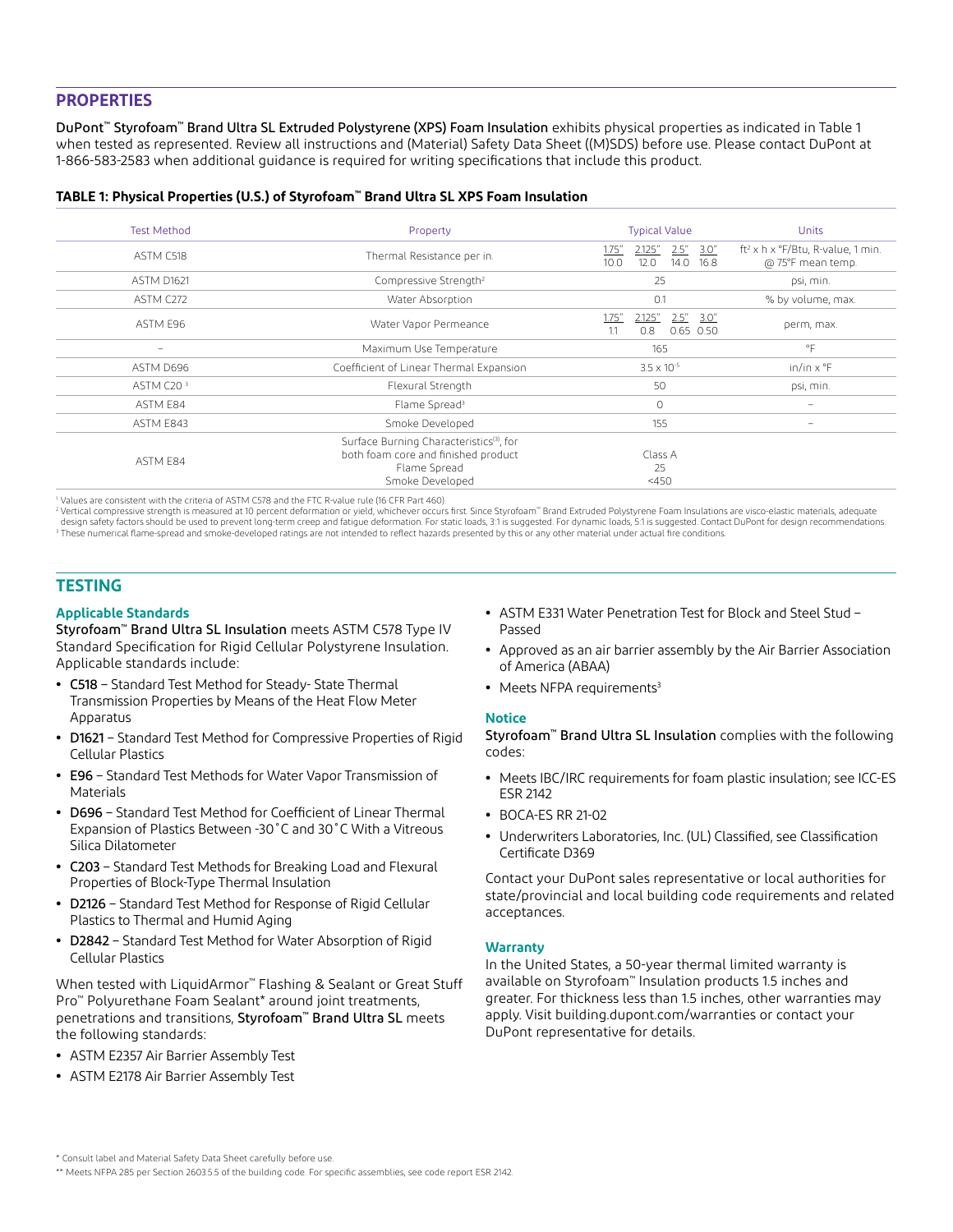# **PROPERTIES**

DuPont™ Styrofoam™ Brand Ultra SL Extruded Polystyrene (XPS) Foam Insulation exhibits physical properties as indicated in Table 1 when tested as represented. Review all instructions and (Material) Safety Data Sheet ((M)SDS) before use. Please contact DuPont at 1-866-583-2583 when additional guidance is required for writing specifications that include this product.

| TABLE 1: Physical Properties (U.S.) of Styrofoam™ Brand Ultra SL XPS Foam Insulation |  |  |  |
|--------------------------------------------------------------------------------------|--|--|--|
|--------------------------------------------------------------------------------------|--|--|--|

| <b>Test Method</b>       | Property                                                                                                                       | <b>Typical Value</b>                                                 | Units                                                              |
|--------------------------|--------------------------------------------------------------------------------------------------------------------------------|----------------------------------------------------------------------|--------------------------------------------------------------------|
| ASTM C518                | Thermal Resistance per in.                                                                                                     | 2.5''<br>1.75''<br>2.125"<br>3.0''<br>12.0<br>14.0<br>10.0<br>16.8   | ft <sup>2</sup> x h x °F/Btu, R-value, 1 min.<br>@ 75°F mean temp. |
| <b>ASTM D1621</b>        | Compressive Strength <sup>2</sup>                                                                                              | 25                                                                   | psi, min.                                                          |
| ASTM C272                | Water Absorption                                                                                                               | 0.1                                                                  | % by volume, max.                                                  |
| ASTM E96                 | Water Vapor Permeance                                                                                                          | $2.5'' \quad 3.0''$<br>1.75''<br>2.125"<br>$0.65$ 0.50<br>0.8<br>1.1 | perm, max.                                                         |
| $\overline{\phantom{m}}$ | Maximum Use Temperature                                                                                                        | 165                                                                  | $^{\circ}$ F                                                       |
| ASTM D696                | Coefficient of Linear Thermal Expansion                                                                                        | $3.5 \times 10^{-5}$                                                 | $in/in \times \mathcal{F}$                                         |
| ASTM C20 <sup>3</sup>    | Flexural Strength                                                                                                              | 50                                                                   | psi, min.                                                          |
| ASTM E84                 | Flame Spread <sup>3</sup>                                                                                                      | $\circ$                                                              | $\qquad \qquad$                                                    |
| ASTM E843                | Smoke Developed                                                                                                                | 155                                                                  | $\overline{\phantom{0}}$                                           |
| ASTM E84                 | Surface Burning Characteristics <sup>(3)</sup> , for<br>both foam core and finished product<br>Flame Spread<br>Smoke Developed | Class A<br>25<br>$<$ 450                                             |                                                                    |

<sup>1</sup> Values are consistent with the criteria of ASTM C578 and the FTC R-value rule (16 CFR Part 460).

<sup>2</sup> Vertical compressive strength is measured at 10 percent deformation or yield, whichever occurs first. Since Styrofoam" Brand Extruded Polystyrene Foam Insulations are visco-elastic materials, adequate<br>design safety fac <sup>3</sup> These numerical flame-spread and smoke-developed ratings are not intended to reflect hazards presented by this or any other material under actual fire conditions.

# **TESTING**

#### **Applicable Standards**

Styrofoam™ Brand Ultra SL Insulation meets ASTM C578 Type IV Standard Specification for Rigid Cellular Polystyrene Insulation. Applicable standards include:

- **•** C518 Standard Test Method for Steady- State Thermal Transmission Properties by Means of the Heat Flow Meter Apparatus
- **•** D1621 Standard Test Method for Compressive Properties of Rigid Cellular Plastics
- **•** E96 Standard Test Methods for Water Vapor Transmission of **Materials**
- **•** D696 Standard Test Method for Coefficient of Linear Thermal Expansion of Plastics Between -30˚C and 30˚C With a Vitreous Silica Dilatometer
- **•** C203 Standard Test Methods for Breaking Load and Flexural Properties of Block-Type Thermal Insulation
- **•** D2126 Standard Test Method for Response of Rigid Cellular Plastics to Thermal and Humid Aging
- **•** D2842 Standard Test Method for Water Absorption of Rigid Cellular Plastics

When tested with LiquidArmor™ Flashing & Sealant or Great Stuff Pro™ Polyurethane Foam Sealant\* around joint treatments, penetrations and transitions, Styrofoam™ Brand Ultra SL meets the following standards:

- **•** ASTM E2357 Air Barrier Assembly Test
- **•** ASTM E2178 Air Barrier Assembly Test
- **•** ASTM E331 Water Penetration Test for Block and Steel Stud Passed
- **•** Approved as an air barrier assembly by the Air Barrier Association of America (ABAA)
- Meets NFPA requirements<sup>3</sup>

# **Notice**

Styrofoam™ Brand Ultra SL Insulation complies with the following codes:

- **•** Meets IBC/IRC requirements for foam plastic insulation; see ICC-ES ESR 2142
- **•** BOCA-ES RR 21-02
- **•** Underwriters Laboratories, Inc. (UL) Classified, see Classification Certificate D369

Contact your DuPont sales representative or local authorities for state/provincial and local building code requirements and related acceptances.

# **Warranty**

In the United States, a 50-year thermal limited warranty is available on Styrofoam™ Insulation products 1.5 inches and greater. For thickness less than 1.5 inches, other warranties may apply. Visit building.dupont.com/warranties or contact your DuPont representative for details.

<sup>\*</sup> Consult label and Material Safety Data Sheet carefully before use.

<sup>\*\*</sup> Meets NFPA 285 per Section 2603.5.5 of the building code. For specific assemblies, see code report ESR 2142.